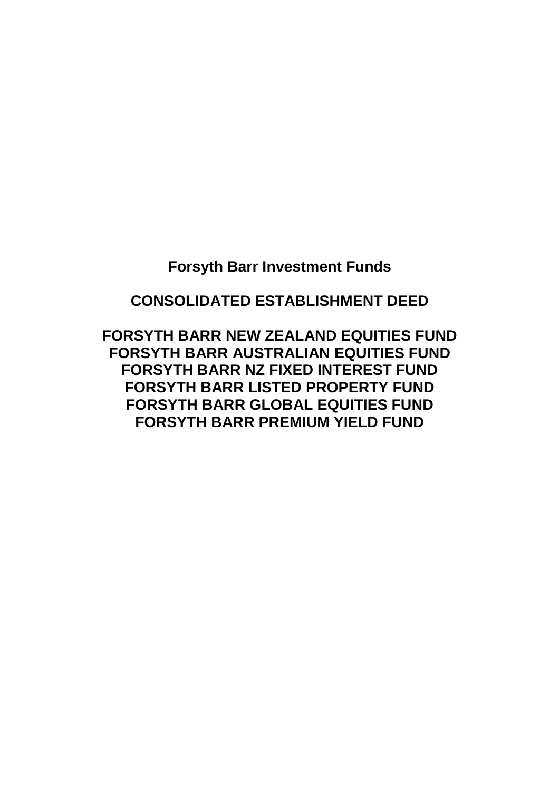# **Forsyth Barr Investment Funds**

# **CONSOLIDATED ESTABLISHMENT DEED**

**FORSYTH BARR NEW ZEALAND EQUITIES FUND FORSYTH BARR AUSTRALIAN EQUITIES FUND FORSYTH BARR NZ FIXED INTEREST FUND FORSYTH BARR LISTED PROPERTY FUND FORSYTH BARR GLOBAL EQUITIES FUND FORSYTH BARR PREMIUM YIELD FUND**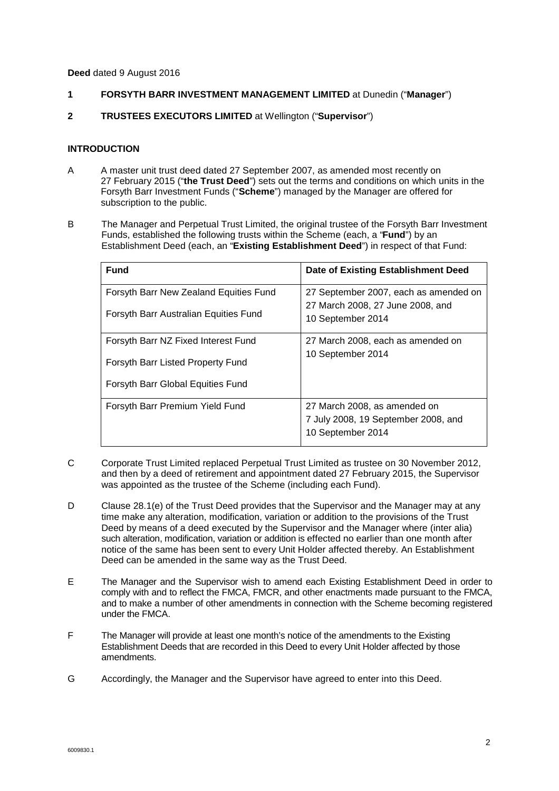**Deed** dated 9 August 2016

- **1 FORSYTH BARR INVESTMENT MANAGEMENT LIMITED** at Dunedin ("**Manager**")
- **2 TRUSTEES EXECUTORS LIMITED** at Wellington ("**Supervisor**")

### **INTRODUCTION**

- A A master unit trust deed dated 27 September 2007, as amended most recently on 27 February 2015 ("**the Trust Deed**") sets out the terms and conditions on which units in the Forsyth Barr Investment Funds ("**Scheme**") managed by the Manager are offered for subscription to the public.
- B The Manager and Perpetual Trust Limited, the original trustee of the Forsyth Barr Investment Funds, established the following trusts within the Scheme (each, a "**Fund**") by an Establishment Deed (each, an "**Existing Establishment Deed**") in respect of that Fund:

| <b>Fund</b>                                                                                                   | Date of Existing Establishment Deed                                                            |
|---------------------------------------------------------------------------------------------------------------|------------------------------------------------------------------------------------------------|
| Forsyth Barr New Zealand Equities Fund<br>Forsyth Barr Australian Equities Fund                               | 27 September 2007, each as amended on<br>27 March 2008, 27 June 2008, and<br>10 September 2014 |
| Forsyth Barr NZ Fixed Interest Fund<br>Forsyth Barr Listed Property Fund<br>Forsyth Barr Global Equities Fund | 27 March 2008, each as amended on<br>10 September 2014                                         |
| Forsyth Barr Premium Yield Fund                                                                               | 27 March 2008, as amended on<br>7 July 2008, 19 September 2008, and<br>10 September 2014       |

- C Corporate Trust Limited replaced Perpetual Trust Limited as trustee on 30 November 2012, and then by a deed of retirement and appointment dated 27 February 2015, the Supervisor was appointed as the trustee of the Scheme (including each Fund).
- D Clause 28.1(e) of the Trust Deed provides that the Supervisor and the Manager may at any time make any alteration, modification, variation or addition to the provisions of the Trust Deed by means of a deed executed by the Supervisor and the Manager where (inter alia) such alteration, modification, variation or addition is effected no earlier than one month after notice of the same has been sent to every Unit Holder affected thereby. An Establishment Deed can be amended in the same way as the Trust Deed.
- E The Manager and the Supervisor wish to amend each Existing Establishment Deed in order to comply with and to reflect the FMCA, FMCR, and other enactments made pursuant to the FMCA, and to make a number of other amendments in connection with the Scheme becoming registered under the FMCA.
- F The Manager will provide at least one month's notice of the amendments to the Existing Establishment Deeds that are recorded in this Deed to every Unit Holder affected by those amendments.
- G Accordingly, the Manager and the Supervisor have agreed to enter into this Deed.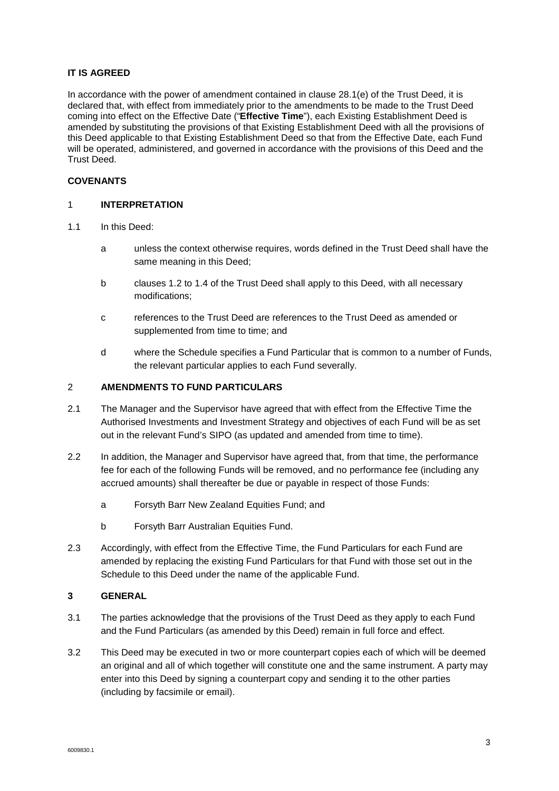# **IT IS AGREED**

In accordance with the power of amendment contained in clause 28.1(e) of the Trust Deed, it is declared that, with effect from immediately prior to the amendments to be made to the Trust Deed coming into effect on the Effective Date ("**Effective Time**"), each Existing Establishment Deed is amended by substituting the provisions of that Existing Establishment Deed with all the provisions of this Deed applicable to that Existing Establishment Deed so that from the Effective Date, each Fund will be operated, administered, and governed in accordance with the provisions of this Deed and the Trust Deed.

# **COVENANTS**

# 1 **INTERPRETATION**

- 1.1 In this Deed:
	- a unless the context otherwise requires, words defined in the Trust Deed shall have the same meaning in this Deed;
	- b clauses 1.2 to 1.4 of the Trust Deed shall apply to this Deed, with all necessary modifications;
	- c references to the Trust Deed are references to the Trust Deed as amended or supplemented from time to time; and
	- d where the Schedule specifies a Fund Particular that is common to a number of Funds, the relevant particular applies to each Fund severally.

#### 2 **AMENDMENTS TO FUND PARTICULARS**

- 2.1 The Manager and the Supervisor have agreed that with effect from the Effective Time the Authorised Investments and Investment Strategy and objectives of each Fund will be as set out in the relevant Fund's SIPO (as updated and amended from time to time).
- 2.2 In addition, the Manager and Supervisor have agreed that, from that time, the performance fee for each of the following Funds will be removed, and no performance fee (including any accrued amounts) shall thereafter be due or payable in respect of those Funds:
	- a Forsyth Barr New Zealand Equities Fund; and
	- b Forsyth Barr Australian Equities Fund.
- 2.3 Accordingly, with effect from the Effective Time, the Fund Particulars for each Fund are amended by replacing the existing Fund Particulars for that Fund with those set out in the Schedule to this Deed under the name of the applicable Fund.

## **3 GENERAL**

- 3.1 The parties acknowledge that the provisions of the Trust Deed as they apply to each Fund and the Fund Particulars (as amended by this Deed) remain in full force and effect.
- 3.2 This Deed may be executed in two or more counterpart copies each of which will be deemed an original and all of which together will constitute one and the same instrument. A party may enter into this Deed by signing a counterpart copy and sending it to the other parties (including by facsimile or email).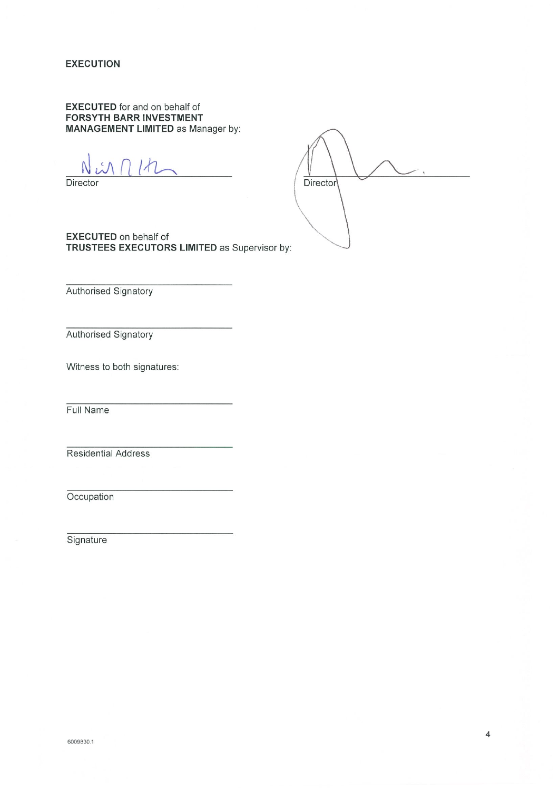**EXECUTION** 

**EXECUTED** for and on behalf of **FORSYTH BARR INVESTMENT MANAGEMENT LIMITED as Manager by:** 

Director



**EXECUTED** on behalf of TRUSTEES EXECUTORS LIMITED as Supervisor by:

Authorised Signatory

Authorised Signatory

Witness to both signatures:

Full Name

Residential Address

Occupation

Signature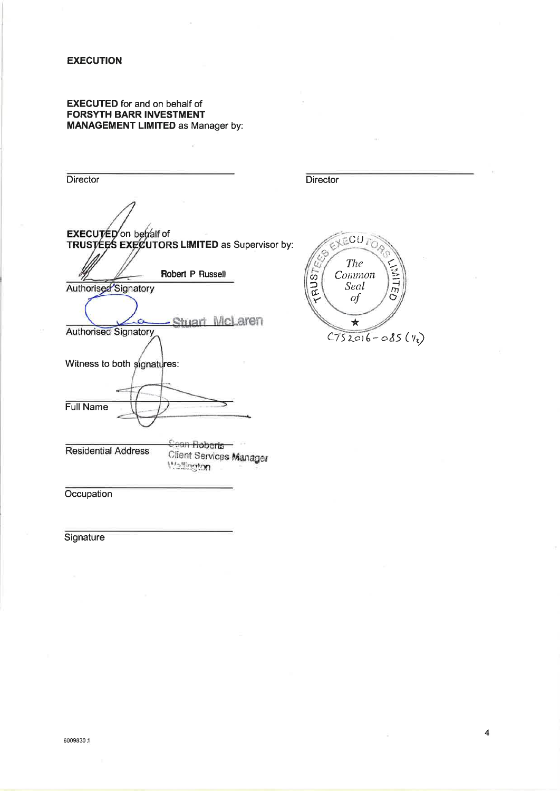#### **EXECUTION**

### **EXECUTED** for and on behalf of **FORSYTH BARR INVESTMENT MANAGEMENT LIMITED as Manager by:**

Director Director EXECUTED on behalf of<br>TRUSTEES EXECUTORS LIMITED as Supervisor by: ECUTOR The Ù, 以作 RUST Robert P Russell Common Authorised'Signatory Seal  $\iota$ r Shiart McLaren  $\star$ **Authorised Signatory**  $C752016 - 085(11)$ Witness to both signatures: Full Name **Coan Roberts** -**Residential Address** Client Services Manager Wellington Occupation

Signature